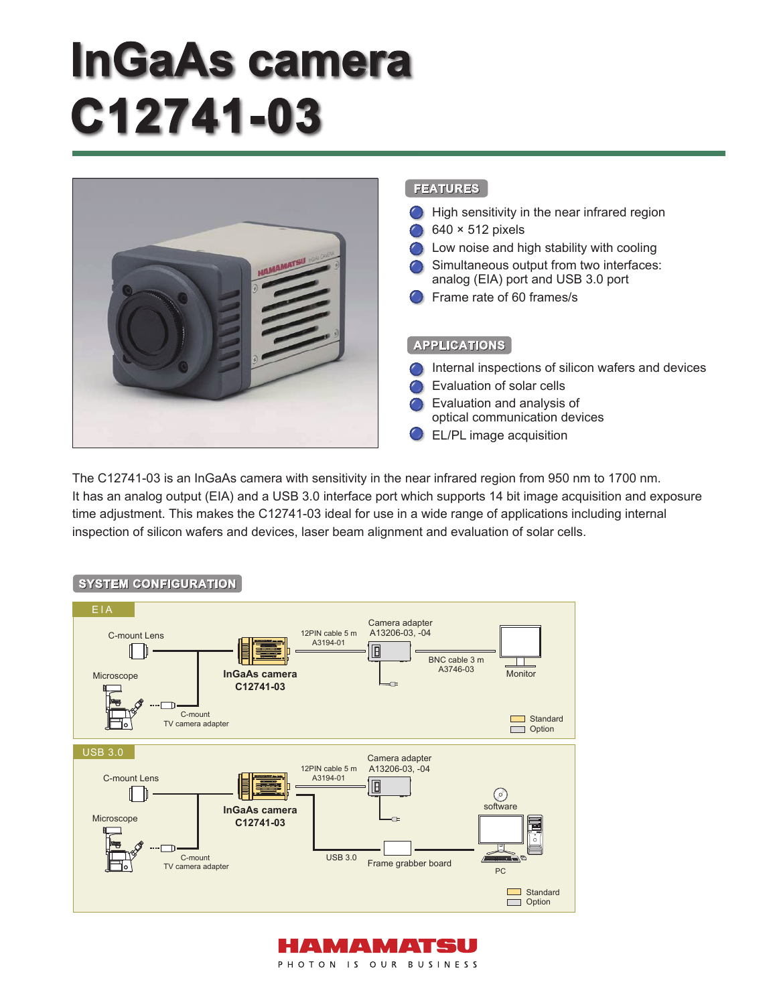# **lnGaAs camera C12741-03**



The C12741-03 is an InGaAs camera with sensitivity in the near infrared region from 950 nm to 1700 nm. It has an analog output (EIA) and a USB 3.0 interface port which supports 14 bit image acquisition and exposure time adjustment. This makes the C12741-03 ideal for use in a wide range of applications including internal inspection of silicon wafers and devices, laser beam alignment and evaluation of solar cells.



## **SYSTEM CONFIGURATION**